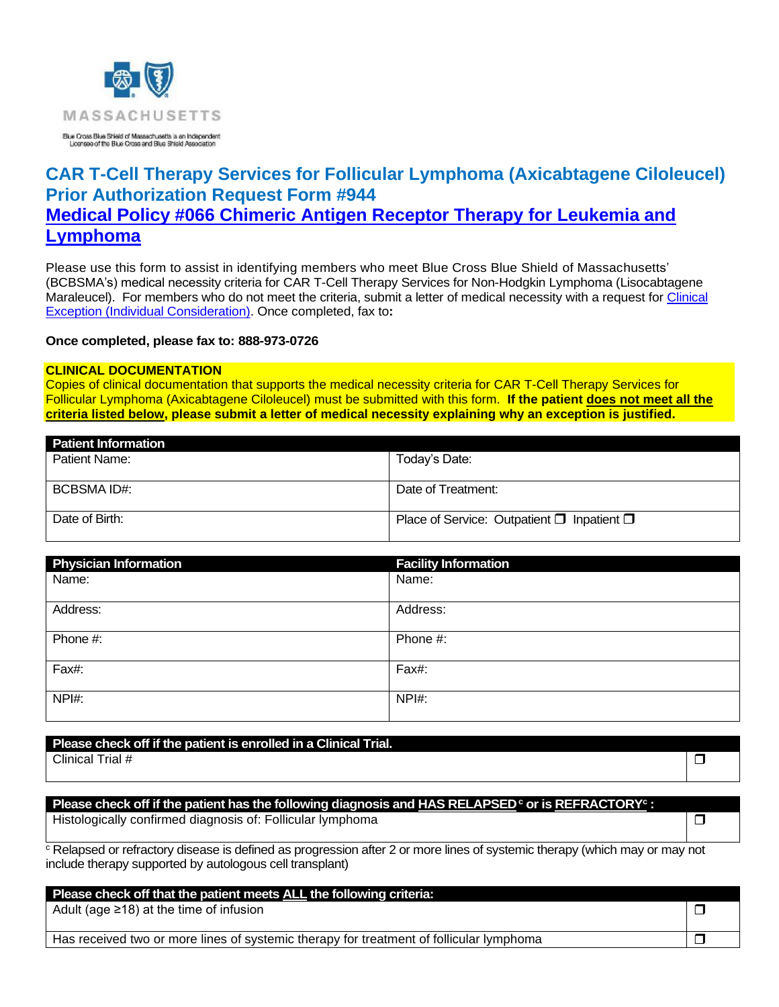

## **CAR T-Cell Therapy Services for Follicular Lymphoma (Axicabtagene Ciloleucel) Prior Authorization Request Form #944 [Medical Policy #066 Chimeric Antigen Receptor Therapy for](https://www.bluecrossma.org/medical-policies/sites/g/files/csphws2091/files/acquiadam-assets/066%20Chimeric%20Antigen%20Receptor%20Therapy%20for%20Leukemia%20and%20Lymphoma.pdf) Leukemia and [Lymphoma](https://www.bluecrossma.org/medical-policies/sites/g/files/csphws2091/files/acquiadam-assets/066%20Chimeric%20Antigen%20Receptor%20Therapy%20for%20Leukemia%20and%20Lymphoma.pdf)**

Please use this form to assist in identifying members who meet Blue Cross Blue Shield of Massachusetts' (BCBSMA's) medical necessity criteria for CAR T-Cell Therapy Services for Non-Hodgkin Lymphoma (Lisocabtagene Maraleucel). For members who do not meet the criteria, submit a letter of medical necessity with a request for Clinical [Exception \(Individual Consideration\).](http://www.bluecrossma.org/medical-policies/sites/g/files/csphws2091/files/acquiadam-assets/Clinical_Exception_Process_prn.pdf) Once completed, fax to**:**

**Once completed, please fax to: 888-973-0726**

#### **CLINICAL DOCUMENTATION**

Copies of clinical documentation that supports the medical necessity criteria for CAR T-Cell Therapy Services for Follicular Lymphoma (Axicabtagene Ciloleucel) must be submitted with this form. **If the patient does not meet all the criteria listed below, please submit a letter of medical necessity explaining why an exception is justified.**

| <b>Patient Information</b> |                                                            |
|----------------------------|------------------------------------------------------------|
| Patient Name:              | Today's Date:                                              |
|                            |                                                            |
| BCBSMA ID#:                | Date of Treatment:                                         |
|                            |                                                            |
| Date of Birth:             | Place of Service: Outpatient $\square$ Inpatient $\square$ |
|                            |                                                            |

| Physician Information | <b>Facility Information</b> |
|-----------------------|-----------------------------|
| Name:                 | Name:                       |
| Address:              | Address:                    |
| Phone #:              | Phone #:                    |
| Fax#:                 | Fax#:                       |
| NPH:                  | NPI#:                       |

#### **Please check off if the patient is enrolled in a Clinical Trial.**

Clinical Trial #  $\Box$ 

#### **Please check off if the patient has the following diagnosis and HAS RELAPSED<sup>c</sup> or is REFRACTORY<sup>c</sup> :**

Histologically confirmed diagnosis of: Follicular lymphoma

<sup>c</sup> Relapsed or refractory disease is defined as progression after 2 or more lines of systemic therapy (which may or may not include therapy supported by autologous cell transplant)

| Please check off that the patient meets ALL the following criteria:                     |  |
|-----------------------------------------------------------------------------------------|--|
| Adult (age $\geq$ 18) at the time of infusion                                           |  |
|                                                                                         |  |
| Has received two or more lines of systemic therapy for treatment of follicular lymphoma |  |